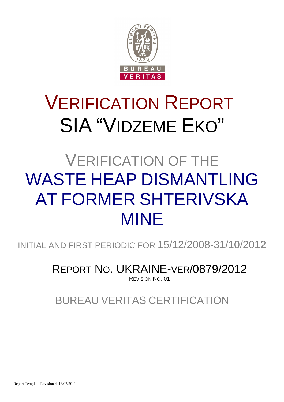

# VERIFICATION REPORT SIA "VIDZEME EKO"

# VERIFICATION OF THE WASTE HEAP DISMANTLING AT FORMER SHTERIVSKA MINE

INITIAL AND FIRST PERIODIC FOR 15/12/2008-31/10/2012

REPORT NO. UKRAINE-VER/0879/2012 REVISION NO. 01

BUREAU VERITAS CERTIFICATION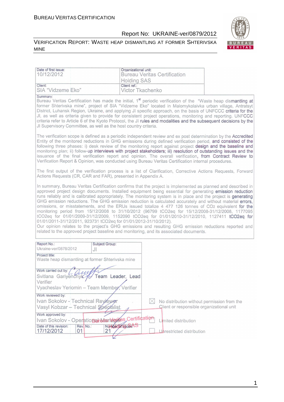#### VERIFICATION REPORT: WASTE HEAP DISMANTLING AT FORMER SHTERIVSKA MINE



| Date of first issue:                                                                                                                                       | Organizational unit:                                                                                                                                                                                                                                                                                                                                                                                                                                                                                                                                                                                                                                                                                                                                                                                                                                                            |  |  |  |  |  |
|------------------------------------------------------------------------------------------------------------------------------------------------------------|---------------------------------------------------------------------------------------------------------------------------------------------------------------------------------------------------------------------------------------------------------------------------------------------------------------------------------------------------------------------------------------------------------------------------------------------------------------------------------------------------------------------------------------------------------------------------------------------------------------------------------------------------------------------------------------------------------------------------------------------------------------------------------------------------------------------------------------------------------------------------------|--|--|--|--|--|
| 10/12/2012                                                                                                                                                 | <b>Bureau Veritas Certification</b>                                                                                                                                                                                                                                                                                                                                                                                                                                                                                                                                                                                                                                                                                                                                                                                                                                             |  |  |  |  |  |
|                                                                                                                                                            | <b>Holding SAS</b>                                                                                                                                                                                                                                                                                                                                                                                                                                                                                                                                                                                                                                                                                                                                                                                                                                                              |  |  |  |  |  |
| Client:<br>SIA "Vidzeme Eko"                                                                                                                               | Client ref.:<br>Victor Tkachenko                                                                                                                                                                                                                                                                                                                                                                                                                                                                                                                                                                                                                                                                                                                                                                                                                                                |  |  |  |  |  |
| Summary:<br>JI Supervisory Committee, as well as the host country criteria.                                                                                | Bureau Veritas Certification has made the initial, 1 <sup>st</sup> periodic verification of the "Waste heap dismantling at<br>former Shterivska mine", project of SIA "Vidzeme Eko" located in Malomykolaivka urban village, Antratsyt<br>District, Luhansk Region, Ukraine, and applying JI specific approach, on the basis of UNFCCC criteria for the<br>JI, as well as criteria given to provide for consistent project operations, monitoring and reporting. UNFCCC<br>criteria refer to Article 6 of the Kyoto Protocol, the JI rules and modalities and the subsequent decisions by the                                                                                                                                                                                                                                                                                   |  |  |  |  |  |
|                                                                                                                                                            | The verification scope is defined as a periodic independent review and ex post determination by the Accredited<br>Entity of the monitored reductions in GHG emissions during defined verification period, and consisted of the<br>following three phases: i) desk review of the monitoring report against project design and the baseline and<br>monitoring plan; ii) follow-up interviews with project stakeholders; iii) resolution of outstanding issues and the<br>issuance of the final verification report and opinion. The overall verification, from Contract Review to<br>Verification Report & Opinion, was conducted using Bureau Veritas Certification internal procedures.                                                                                                                                                                                         |  |  |  |  |  |
| Actions Requests (CR, CAR and FAR), presented in Appendix A.                                                                                               | The first output of the verification process is a list of Clarification, Corrective Actions Requests, Forward                                                                                                                                                                                                                                                                                                                                                                                                                                                                                                                                                                                                                                                                                                                                                                   |  |  |  |  |  |
| 01/01/2011-31/12/2011, 923731 tCO2eq for 01/01/2012-31/10/2012).<br>related to the approved project baseline and monitoring, and its associated documents. | In summary, Bureau Veritas Certification confirms that the project is implemented as planned and described in<br>approved project design documents. Installed equipment being essential for generating emission reduction<br>runs reliably and is calibrated appropriately. The monitoring system is in place and the project is generating<br>GHG emission reductions. The GHG emission reduction is calculated accurately and without material errors,<br>omissions, or misstatements, and the ERUs issued totalize 4 477 126 tonnes of CO2 equivalent for the<br>monitoring period from 15/12/2008 to 31/10/2012 (96799 tCO2eq for 15/12/2008-31/12/2008, 1177095<br>tCO2eq for 01/01/2009-31/12/2009, 1152090 tCO2eq for 01/01/2010-31/12/2010, 1127411 tCO2eq for<br>Our opinion relates to the project's GHG emissions and resulting GHG emission reductions reported and |  |  |  |  |  |
| Report No.:<br>Subject Group:<br>Ukraine-ver/0878/2012<br>JІ                                                                                               |                                                                                                                                                                                                                                                                                                                                                                                                                                                                                                                                                                                                                                                                                                                                                                                                                                                                                 |  |  |  |  |  |
| Project title:<br>Waste heap dismantling at former Shterivska mine                                                                                         |                                                                                                                                                                                                                                                                                                                                                                                                                                                                                                                                                                                                                                                                                                                                                                                                                                                                                 |  |  |  |  |  |
| Work carried out by<br>Svitlana Gariyenchylc<br>Team Leader, Lead<br>Verifier<br>Vyacheslav Yeriomin - Team Member, Verifier                               |                                                                                                                                                                                                                                                                                                                                                                                                                                                                                                                                                                                                                                                                                                                                                                                                                                                                                 |  |  |  |  |  |
| Work reviewed by:<br>Ivan Sokolov - Technical Reviewer<br>Vasyl Kobzar - Technical Specialist                                                              | No distribution without permission from the<br>Client or responsible organizational unit                                                                                                                                                                                                                                                                                                                                                                                                                                                                                                                                                                                                                                                                                                                                                                                        |  |  |  |  |  |
| Work approved by:<br>Ivan Sokolov - Operational Manderikes Certification                                                                                   | Limited distribution                                                                                                                                                                                                                                                                                                                                                                                                                                                                                                                                                                                                                                                                                                                                                                                                                                                            |  |  |  |  |  |
| Number of pages AS<br>Date of this revision:<br>Rev. No.:<br>21<br>17/12/2012<br>01                                                                        | Unrestricted distribution                                                                                                                                                                                                                                                                                                                                                                                                                                                                                                                                                                                                                                                                                                                                                                                                                                                       |  |  |  |  |  |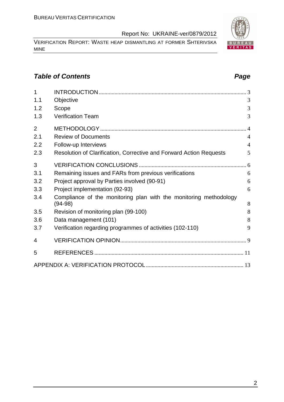VERIFICATION REPORT: WASTE HEAP DISMANTLING AT FORMER SHTERIVSKA MINE

# **Table of Contents Page 2014**

| $\overline{1}$ |                                                                                |                |
|----------------|--------------------------------------------------------------------------------|----------------|
| 1.1            | Objective                                                                      | 3              |
| 1.2            | Scope                                                                          | 3              |
| 1.3            | <b>Verification Team</b>                                                       | 3              |
| $\overline{2}$ |                                                                                | $\overline{4}$ |
| 2.1            | <b>Review of Documents</b>                                                     | $\overline{4}$ |
| 2.2            | Follow-up Interviews                                                           | $\overline{4}$ |
| 2.3            | Resolution of Clarification, Corrective and Forward Action Requests            | 5              |
| 3              |                                                                                |                |
| 3.1            | Remaining issues and FARs from previous verifications                          | 6              |
| 3.2            | Project approval by Parties involved (90-91)                                   | 6              |
| 3.3            | Project implementation (92-93)                                                 | 6              |
| 3.4            | Compliance of the monitoring plan with the monitoring methodology<br>$(94-98)$ | 8              |
| 3.5            | Revision of monitoring plan (99-100)                                           | 8              |
| 3.6            | Data management (101)                                                          | 8              |
| 3.7            | Verification regarding programmes of activities (102-110)                      | 9              |
| 4              |                                                                                |                |
| 5              |                                                                                |                |
|                |                                                                                |                |

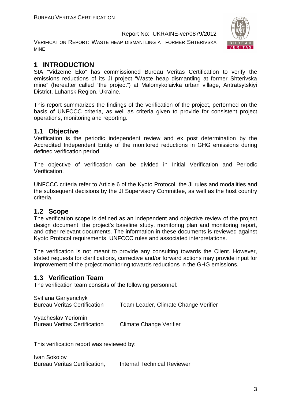VERIFICATION REPORT: WASTE HEAP DISMANTLING AT FORMER SHTERIVSKA MINE



# **1 INTRODUCTION**

SIA "Vidzeme Eko" has commissioned Bureau Veritas Certification to verify the emissions reductions of its JI project "Waste heap dismantling at former Shterivska mine" (hereafter called "the project") at Malomykolaivka urban village, Antratsytskiyi District, Luhansk Region, Ukraine.

This report summarizes the findings of the verification of the project, performed on the basis of UNFCCC criteria, as well as criteria given to provide for consistent project operations, monitoring and reporting.

# **1.1 Objective**

Verification is the periodic independent review and ex post determination by the Accredited Independent Entity of the monitored reductions in GHG emissions during defined verification period.

The objective of verification can be divided in Initial Verification and Periodic Verification.

UNFCCC criteria refer to Article 6 of the Kyoto Protocol, the JI rules and modalities and the subsequent decisions by the JI Supervisory Committee, as well as the host country criteria.

### **1.2 Scope**

The verification scope is defined as an independent and objective review of the project design document, the project's baseline study, monitoring plan and monitoring report, and other relevant documents. The information in these documents is reviewed against Kyoto Protocol requirements, UNFCCC rules and associated interpretations.

The verification is not meant to provide any consulting towards the Client. However, stated requests for clarifications, corrective and/or forward actions may provide input for improvement of the project monitoring towards reductions in the GHG emissions.

# **1.3 Verification Team**

The verification team consists of the following personnel:

| Svitlana Gariyenchyk                |                                      |
|-------------------------------------|--------------------------------------|
| <b>Bureau Veritas Certification</b> | Team Leader, Climate Change Verifier |
|                                     |                                      |

Vyacheslav Yeriomin Bureau Veritas Certification Climate Change Verifier

This verification report was reviewed by:

Ivan Sokolov Bureau Veritas Certification, Internal Technical Reviewer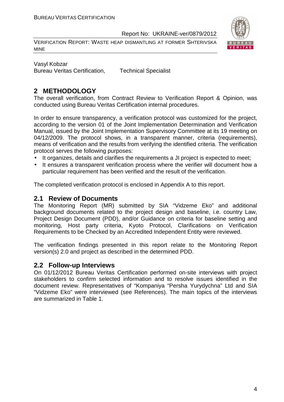VERIFICATION REPORT: WASTE HEAP DISMANTLING AT FORMER SHTERIVSKA MINE



Vasyl Kobzar Bureau Veritas Certification, Technical Specialist

# **2 METHODOLOGY**

The overall verification, from Contract Review to Verification Report & Opinion, was conducted using Bureau Veritas Certification internal procedures.

In order to ensure transparency, a verification protocol was customized for the project, according to the version 01 of the Joint Implementation Determination and Verification Manual, issued by the Joint Implementation Supervisory Committee at its 19 meeting on 04/12/2009. The protocol shows, in a transparent manner, criteria (requirements), means of verification and the results from verifying the identified criteria. The verification protocol serves the following purposes:

- It organizes, details and clarifies the requirements a JI project is expected to meet;
- It ensures a transparent verification process where the verifier will document how a particular requirement has been verified and the result of the verification.

The completed verification protocol is enclosed in Appendix A to this report.

### **2.1 Review of Documents**

The Monitoring Report (MR) submitted by SIA "Vidzeme Eko" and additional background documents related to the project design and baseline, i.e. country Law, Project Design Document (PDD), and/or Guidance on criteria for baseline setting and monitoring, Host party criteria, Kyoto Protocol, Clarifications on Verification Requirements to be Checked by an Accredited Independent Entity were reviewed.

The verification findings presented in this report relate to the Monitoring Report version(s) 2.0 and project as described in the determined PDD.

### **2.2 Follow-up Interviews**

On 01/12/2012 Bureau Veritas Certification performed on-site interviews with project stakeholders to confirm selected information and to resolve issues identified in the document review. Representatives of "Kompaniya "Persha Yurydychna" Ltd and SIA "Vidzeme Eko" were interviewed (see References). The main topics of the interviews are summarized in Table 1.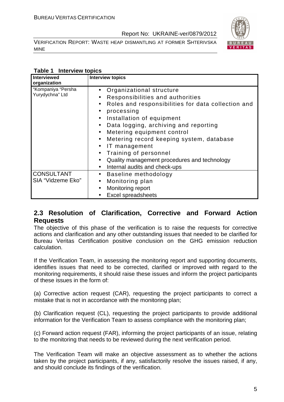VERIFICATION REPORT: WASTE HEAP DISMANTLING AT FORMER SHTERIVSKA MINE



#### **Table 1 Interview topics**

| Interviewed<br>organization            | <b>Interview topics</b>                                                                                                                                                                                                                                                                                                                                                                                                                                                                                                                                    |
|----------------------------------------|------------------------------------------------------------------------------------------------------------------------------------------------------------------------------------------------------------------------------------------------------------------------------------------------------------------------------------------------------------------------------------------------------------------------------------------------------------------------------------------------------------------------------------------------------------|
| "Kompaniya "Persha<br>Yurydychna" Ltd  | Organizational structure<br>$\bullet$<br>Responsibilities and authorities<br>Roles and responsibilities for data collection and<br>$\bullet$<br>processing<br>$\bullet$<br>Installation of equipment<br>$\bullet$<br>Data logging, archiving and reporting<br>$\bullet$<br>Metering equipment control<br>$\bullet$<br>Metering record keeping system, database<br>$\bullet$<br>IT management<br>$\bullet$<br>Training of personnel<br>$\bullet$<br>Quality management procedures and technology<br>$\bullet$<br>Internal audits and check-ups<br>$\bullet$ |
| <b>CONSULTANT</b><br>SIA "Vidzeme Eko" | Baseline methodology<br>$\bullet$<br>Monitoring plan<br>$\bullet$<br>Monitoring report<br>$\bullet$<br><b>Excel spreadsheets</b>                                                                                                                                                                                                                                                                                                                                                                                                                           |

### **2.3 Resolution of Clarification, Corrective and Forward Action Requests**

The objective of this phase of the verification is to raise the requests for corrective actions and clarification and any other outstanding issues that needed to be clarified for Bureau Veritas Certification positive conclusion on the GHG emission reduction calculation.

If the Verification Team, in assessing the monitoring report and supporting documents, identifies issues that need to be corrected, clarified or improved with regard to the monitoring requirements, it should raise these issues and inform the project participants of these issues in the form of:

(a) Corrective action request (CAR), requesting the project participants to correct a mistake that is not in accordance with the monitoring plan;

(b) Clarification request (CL), requesting the project participants to provide additional information for the Verification Team to assess compliance with the monitoring plan;

(c) Forward action request (FAR), informing the project participants of an issue, relating to the monitoring that needs to be reviewed during the next verification period.

The Verification Team will make an objective assessment as to whether the actions taken by the project participants, if any, satisfactorily resolve the issues raised, if any, and should conclude its findings of the verification.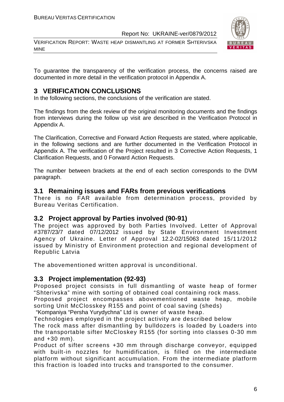VERIFICATION REPORT: WASTE HEAP DISMANTLING AT FORMER SHTERIVSKA MINE



To guarantee the transparency of the verification process, the concerns raised are documented in more detail in the verification protocol in Appendix A.

# **3 VERIFICATION CONCLUSIONS**

In the following sections, the conclusions of the verification are stated.

The findings from the desk review of the original monitoring documents and the findings from interviews during the follow up visit are described in the Verification Protocol in Appendix A.

The Clarification, Corrective and Forward Action Requests are stated, where applicable, in the following sections and are further documented in the Verification Protocol in Appendix A. The verification of the Project resulted in 3 Corrective Action Requests, 1 Clarification Requests, and 0 Forward Action Requests.

The number between brackets at the end of each section corresponds to the DVM paragraph.

#### **3.1 Remaining issues and FARs from previous verifications**

There is no FAR available from determination process, provided by Bureau Veritas Certification.

### **3.2 Project approval by Parties involved (90-91)**

The project was approved by both Parties Involved. Letter of Approval #3787/23/7 dated 07/12/2012 issued by State Environment Investment Agency of Ukraine. Letter of Approval 12.2-02/15063 dated 15/11/2012 issued by Ministry of Environment protection and regional development of Republic Latvia

The abovementioned written approval is unconditional.

### **3.3 Project implementation (92-93)**

Proposed project consists in full dismantling of waste heap of former "Shterivska" mine with sorting of obtained coal containing rock mass.

Proposed project encompasses abovementioned waste heap, mobile sorting Unit McClosskey R155 and point of coal saving (sheds)

"Kompaniya "Persha Yurydychna" Ltd is owner of waste heap.

Technologies employed in the project activity are described below The rock mass after dismantling by bulldozers is loaded by Loaders into the transportable sifter McCloskey R155 (for sorting into classes 0-30 mm and +30 mm).

Product of sifter screens +30 mm through discharge conveyor, equipped with built-in nozzles for humidification, is filled on the intermediate platform without significant accumulation. From the intermediate platform this fraction is loaded into trucks and transported to the consumer.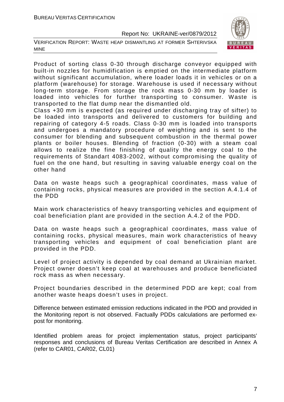VERIFICATION REPORT: WASTE HEAP DISMANTLING AT FORMER SHTERIVSKA MINE



Product of sorting class 0-30 through discharge conveyor equipped with built-in nozzles for humidification is emptied on the intermediate platform without significant accumulation, where loader loads it in vehicles or on a platform (warehouse) for storage. Warehouse is used if necessary without long-term storage. From storage the rock mass 0-30 mm by loader is loaded into vehicles for further transporting to consumer. Waste is transported to the flat dump near the dismantled old.

Class +30 mm is expected (as required under discharging tray of sifter) to be loaded into transports and delivered to customers for building and repairing of category 4-5 roads. Class 0-30 mm is loaded into transports and undergoes a mandatory procedure of weighting and is sent to the consumer for blending and subsequent combustion in the thermal power plants or boiler houses. Blending of fraction (0-30) with a steam coal allows to realize the fine finishing of quality the energy coal to the requirements of Standart 4083-2002, without compromising the quality of fuel on the one hand, but resulting in saving valuable energy coal on the other hand

Data on waste heaps such a geographical coordinates, mass value of containing rocks, physical measures are provided in the section A.4.1.4 of the PDD

Main work characteristics of heavy transporting vehicles and equipment of coal beneficiation plant are provided in the section A.4.2 of the PDD.

Data on waste heaps such a geographical coordinates, mass value of containing rocks, physical measures, main work characteristics of heavy transporting vehicles and equipment of coal beneficiation plant are provided in the PDD.

Level of project activity is depended by coal demand at Ukrainian market. Project owner doesn't keep coal at warehouses and produce beneficiated rock mass as when necessary.

Project boundaries described in the determined PDD are kept; coal from another waste heaps doesn't uses in project.

Difference between estimated emission reductions indicated in the PDD and provided in the Monitoring report is not observed. Factually PDDs calculations are performed expost for monitoring.

Identified problem areas for project implementation status, project participants' responses and conclusions of Bureau Veritas Certification are described in Annex A (refer to CAR01, CAR02, CL01)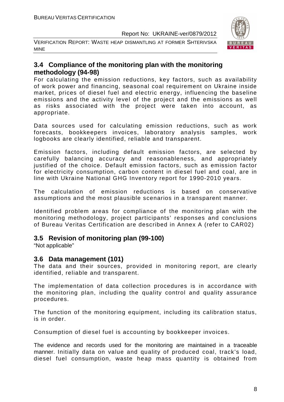VERIFICATION REPORT: WASTE HEAP DISMANTLING AT FORMER SHTERIVSKA MINE



## **3.4 Compliance of the monitoring plan with the monitoring methodology (94-98)**

For calculating the emission reductions, key factors, such as availability of work power and financing, seasonal coal requirement on Ukraine inside market, prices of diesel fuel and electric energy, influencing the baseline emissions and the activity level of the project and the emissions as well as risks associated with the project were taken into account, as appropriate.

Data sources used for calculating emission reductions, such as work forecasts, bookkeepers invoices, laboratory analysis samples, work logbooks are clearly identified, reliable and transparent.

Emission factors, including default emission factors, are selected by carefully balancing accuracy and reasonableness, and appropriately justified of the choice. Default emission factors, such as emission factor for electricity consumption, carbon content in diesel fuel and coal, are in line with Ukraine National GHG Inventory report for 1990-2010 years.

The calculation of emission reductions is based on conservative assumptions and the most plausible scenarios in a transparent manner.

Identified problem areas for compliance of the monitoring plan with the monitoring methodology, project participants' responses and conclusions of Bureau Veritas Certification are described in Annex A (refer to CAR02)

### **3.5 Revision of monitoring plan (99-100)**

"Not applicable"

### **3.6 Data management (101)**

The data and their sources, provided in monitoring report, are clearly identified, reliable and transparent.

The implementation of data collection procedures is in accordance with the monitoring plan, including the quality control and quality assurance procedures.

The function of the monitoring equipment, including its calibration status, is in order.

Consumption of diesel fuel is accounting by bookkeeper invoices.

The evidence and records used for the monitoring are maintained in a traceable manner. Initially data on value and quality of produced coal, track's load, diesel fuel consumption, waste heap mass quantity is obtained from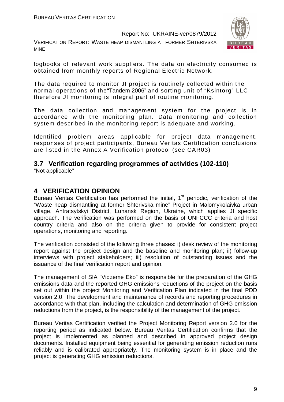VERIFICATION REPORT: WASTE HEAP DISMANTLING AT FORMER SHTERIVSKA MINE



logbooks of relevant work suppliers. The data on electricity consumed is obtained from monthly reports of Regional Electric Network.

The data required to monitor JI project is routinely collected within the normal operations of the"Tandem 2006" and sorting unit of "Ksintorg" LLC therefore JI monitoring is integral part of routine monitoring.

The data collection and management system for the project is in accordance with the monitoring plan. Data monitoring and collection system described in the monitoring report is adequate and working.

Identified problem areas applicable for project data management, responses of project participants, Bureau Veritas Certification conclusions are listed in the Annex A Verification protocol (see CAR03)

# **3.7 Verification regarding programmes of activities (102-110)**

"Not applicable"

### **4 VERIFICATION OPINION**

Bureau Veritas Certification has performed the initial, 1<sup>st</sup> periodic, verification of the "Waste heap dismantling at former Shterivska mine" Project in Malomykolaivka urban village, Antratsytskyi District, Luhansk Region, Ukraine, which applies JI specific approach. The verification was performed on the basis of UNFCCC criteria and host country criteria and also on the criteria given to provide for consistent project operations, monitoring and reporting.

The verification consisted of the following three phases: i) desk review of the monitoring report against the project design and the baseline and monitoring plan; ii) follow-up interviews with project stakeholders; iii) resolution of outstanding issues and the issuance of the final verification report and opinion.

The management of SIA "Vidzeme Eko" is responsible for the preparation of the GHG emissions data and the reported GHG emissions reductions of the project on the basis set out within the project Monitoring and Verification Plan indicated in the final PDD version 2.0. The development and maintenance of records and reporting procedures in accordance with that plan, including the calculation and determination of GHG emission reductions from the project, is the responsibility of the management of the project.

Bureau Veritas Certification verified the Project Monitoring Report version 2.0 for the reporting period as indicated below. Bureau Veritas Certification confirms that the project is implemented as planned and described in approved project design documents. Installed equipment being essential for generating emission reduction runs reliably and is calibrated appropriately. The monitoring system is in place and the project is generating GHG emission reductions.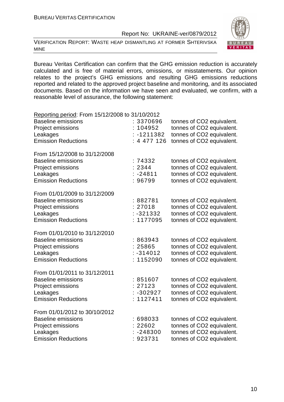VERIFICATION REPORT: WASTE HEAP DISMANTLING AT FORMER SHTERIVSKA MINE



Bureau Veritas Certification can confirm that the GHG emission reduction is accurately calculated and is free of material errors, omissions, or misstatements. Our opinion relates to the project's GHG emissions and resulting GHG emissions reductions reported and related to the approved project baseline and monitoring, and its associated documents. Based on the information we have seen and evaluated, we confirm, with a reasonable level of assurance, the following statement:

| Reporting period: From 15/12/2008 to 31/10/2012                                                                           |                                                  |                                                                                                                  |
|---------------------------------------------------------------------------------------------------------------------------|--------------------------------------------------|------------------------------------------------------------------------------------------------------------------|
| <b>Baseline emissions</b><br>Project emissions<br>Leakages<br><b>Emission Reductions</b>                                  | : 3370696<br>104952<br>$-1211382$<br>: 4 477 126 | tonnes of CO2 equivalent.<br>tonnes of CO2 equivalent.<br>tonnes of CO2 equivalent.<br>tonnes of CO2 equivalent. |
| From 15/12/2008 to 31/12/2008<br><b>Baseline emissions</b><br>Project emissions<br>Leakages<br><b>Emission Reductions</b> | : 74332<br>: 2344<br>$: -24811$<br>96799         | tonnes of CO2 equivalent.<br>tonnes of CO2 equivalent.<br>tonnes of CO2 equivalent.<br>tonnes of CO2 equivalent. |
| From 01/01/2009 to 31/12/2009<br><b>Baseline emissions</b><br>Project emissions<br>Leakages<br><b>Emission Reductions</b> | : 882781<br>: 27018<br>$: -321332$<br>: 1177095  | tonnes of CO2 equivalent.<br>tonnes of CO2 equivalent.<br>tonnes of CO2 equivalent.<br>tonnes of CO2 equivalent. |
| From 01/01/2010 to 31/12/2010<br><b>Baseline emissions</b><br>Project emissions<br>Leakages<br><b>Emission Reductions</b> | : 863943<br>: 25865<br>$: -314012$<br>: 1152090  | tonnes of CO2 equivalent.<br>tonnes of CO2 equivalent.<br>tonnes of CO2 equivalent.<br>tonnes of CO2 equivalent. |
| From 01/01/2011 to 31/12/2011<br><b>Baseline emissions</b><br>Project emissions<br>Leakages<br><b>Emission Reductions</b> | : 851607<br>: 27123<br>$: -302927$<br>: 1127411  | tonnes of CO2 equivalent.<br>tonnes of CO2 equivalent.<br>tonnes of CO2 equivalent.<br>tonnes of CO2 equivalent. |
| From 01/01/2012 to 30/10/2012<br><b>Baseline emissions</b><br>Project emissions<br>Leakages<br><b>Emission Reductions</b> | : 698033<br>: 22602<br>$-248300$<br>: 923731     | tonnes of CO2 equivalent.<br>tonnes of CO2 equivalent.<br>tonnes of CO2 equivalent.<br>tonnes of CO2 equivalent. |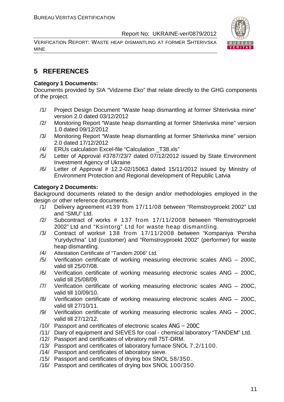VERIFICATION REPORT: WASTE HEAP DISMANTLING AT FORMER SHTERIVSKA MINE



# **5 REFERENCES**

#### **Category 1 Documents:**

Documents provided by SIA "Vidzeme Eko" that relate directly to the GHG components of the project.

- /1/ Project Design Document "Waste heap dismantling at former Shterivska mine" version 2.0 dated 03/12/2012
- /2/ Monitoring Report "Waste heap dismantling at former Shterivska mine" version 1.0 dated 09/12/2012
- /3/ Monitoring Report "Waste heap dismantling at former Shterivska mine" version 2.0 dated 17/12/2012
- /4/ ERUs calculation Excel-file "Calculation \_T38.xls"
- /5/ Letter of Approval #3787/23/7 dated 07/12/2012 issued by State Environment Investment Agency of Ukraine
- /6/ Letter of Approval # 12.2-02/15063 dated 15/11/2012 issued by Ministry of Environment Protection and Regional development of Republic Latvia

#### **Category 2 Documents:**

Background documents related to the design and/or methodologies employed in the design or other reference documents.

- /1/ Delivery agreement #139 from 17/11/08 between "Remstroyproekt 2002" Ltd and "SMU" Ltd.
- /2/ Subcontract of works # 137 from 17/11/2008 between "Remstroyproekt 2002" Ltd and "Ksintorg" Ltd for waste heap dismantling.
- /3/ Contract of works# 138 from 17/11/2008 between "Kompaniya 'Persha Yurydychna" Ltd (customer) and "Remstroyproekt 2002" (performer) for waste heap dismantling.
- /4/ Attestation Certificate of "Tandem 2006" Ltd.
- /5/ Verification certificate of working measuring electronic scales ANG 200C, valid till 25/07/08.
- /6/ Verification certificate of working measuring electronic scales ANG 200C, valid till 25/08/09.
- /7/ Verification certificate of working measuring electronic scales ANG 200C, valid till 10/09/10.
- /8/ Verification certificate of working measuring electronic scales ANG 200C, valid till 27/10/11.
- /9/ Verification certificate of working measuring electronic scales ANG 200C, valid till 27/12/12.
- /10/ Passport and certificates of electronic scales ANG 200C
- /11/ Diary of equipment and SIEVES for coal chemical laboratory "TANDEM" Ltd.
- /12/ Passport and certificates of vibratory mill 75T-DRM.
- /13/ Passport and certificates of laboratory furnace SNOL 7,2/1100.
- /14/ Passport and certificates of laboratory sieve.
- /15/ Passport and certificates of drying box SNOL 58/350.
- /16/ Passport and certificates of drying box SNOL 100/350.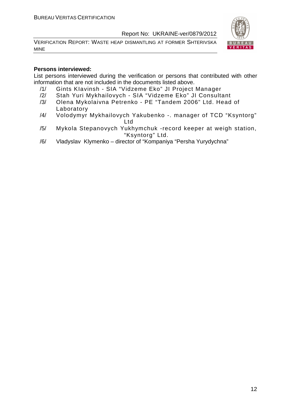VERIFICATION REPORT: WASTE HEAP DISMANTLING AT FORMER SHTERIVSKA MINE



#### **Persons interviewed:**

List persons interviewed during the verification or persons that contributed with other information that are not included in the documents listed above.

- /1/ Gints KIavinsh SIA "Vidzeme Eko" JI Project Manager
- /2/ Stah Yuri Mykhailovych SIA "Vidzeme Eko" JI Consultant
- /3/ Olena Mykolaivna Petrenko PE "Tandem 2006" Ltd. Head of Laboratory
- /4/ Volodymyr Mykhailovych Yakubenko -. manager of TCD "Ksyntorg" Ltd
- /5/ Mykola Stepanovych Yukhymchuk -record keeper at weigh station, "Ksyntorg" Ltd.
- /6/ Vladyslav Klymenko director of "Kompaniya "Persha Yurydychna"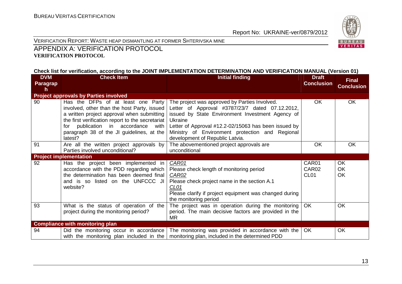

#### VERIFICATION REPORT: WASTE HEAP DISMANTLING AT FORMER SHTERIVSKA MINE

#### APPENDIX A: VERIFICATION PROTOCOL **VERIFICATION PROTOCOL**

#### **Check list for verification, according to the JOINT IMPLEMENTATION DETERMINATION AND VERIFICATION MANUAL (Version 01)**

| <b>DVM</b>      | <b>Check Item</b>                                                                                                                                                                                                                                                                    | <b>Initial finding</b>                                                                                                                                                                                                                                                                                               | <b>Draft</b>                                    | <b>Final</b>                       |
|-----------------|--------------------------------------------------------------------------------------------------------------------------------------------------------------------------------------------------------------------------------------------------------------------------------------|----------------------------------------------------------------------------------------------------------------------------------------------------------------------------------------------------------------------------------------------------------------------------------------------------------------------|-------------------------------------------------|------------------------------------|
| <b>Paragrap</b> |                                                                                                                                                                                                                                                                                      |                                                                                                                                                                                                                                                                                                                      | <b>Conclusion</b>                               |                                    |
| h               |                                                                                                                                                                                                                                                                                      |                                                                                                                                                                                                                                                                                                                      |                                                 | <b>Conclusion</b>                  |
|                 | <b>Project approvals by Parties involved</b>                                                                                                                                                                                                                                         |                                                                                                                                                                                                                                                                                                                      |                                                 |                                    |
| 90              | Has the DFPs of at least one Party<br>involved, other than the host Party, issued<br>a written project approval when submitting<br>the first verification report to the secretariat<br>for publication in accordance<br>with<br>paragraph 38 of the JI guidelines, at the<br>latest? | The project was approved by Parties Involved.<br>Letter of Approval #3787/23/7 dated 07.12.2012,<br>issued by State Environment Investment Agency of<br><b>Ukraine</b><br>Letter of Approval #12.2-02/15063 has been issued by<br>Ministry of Environment protection and Regional<br>development of Republic Latvia. | OK.                                             | <b>OK</b>                          |
| 91              | Are all the written project approvals by<br>Parties involved unconditional?                                                                                                                                                                                                          | The abovementioned project approvals are<br>unconditional                                                                                                                                                                                                                                                            | OK                                              | <b>OK</b>                          |
|                 | <b>Project implementation</b>                                                                                                                                                                                                                                                        |                                                                                                                                                                                                                                                                                                                      |                                                 |                                    |
| 92<br>93        | Has the project been implemented in<br>accordance with the PDD regarding which<br>the determination has been deemed final<br>and is so listed on the UNFCCC JI<br>website?<br>What is the status of operation of the                                                                 | CAR01<br>Please check length of monitoring period<br>CAR02<br>Please check project name in the section A.1<br>CL <sub>01</sub><br>Please clarify if project equipment was changed during<br>the monitoring period<br>The project was in operation during the monitoring                                              | CAR01<br>CAR02<br>CL <sub>01</sub><br><b>OK</b> | <b>OK</b><br>OK<br><b>OK</b><br>OK |
|                 | project during the monitoring period?                                                                                                                                                                                                                                                | period. The main decisive factors are provided in the<br><b>MR</b>                                                                                                                                                                                                                                                   |                                                 |                                    |
|                 | <b>Compliance with monitoring plan</b>                                                                                                                                                                                                                                               |                                                                                                                                                                                                                                                                                                                      |                                                 |                                    |
| 94              | Did the monitoring occur in accordance<br>with the monitoring plan included in the                                                                                                                                                                                                   | The monitoring was provided in accordance with the $\overline{\phantom{a}}$ OK<br>monitoring plan, included in the determined PDD                                                                                                                                                                                    |                                                 | <b>OK</b>                          |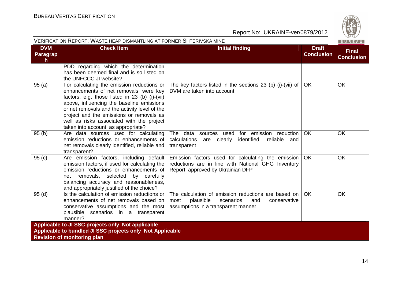

| VERIFICATION REPORT: WASTE HEAP DISMANTLING AT FORMER SHTERIVSKA MINE<br>BUREAU |                                                                                                                                                                                                                                                                                                                                                                      |                                                                                                                                                     |                                   |                                   |  |
|---------------------------------------------------------------------------------|----------------------------------------------------------------------------------------------------------------------------------------------------------------------------------------------------------------------------------------------------------------------------------------------------------------------------------------------------------------------|-----------------------------------------------------------------------------------------------------------------------------------------------------|-----------------------------------|-----------------------------------|--|
| <b>DVM</b><br>Paragrap<br>$\mathsf{h}$                                          | <b>Check Item</b>                                                                                                                                                                                                                                                                                                                                                    | <b>Initial finding</b>                                                                                                                              | <b>Draft</b><br><b>Conclusion</b> | <b>Final</b><br><b>Conclusion</b> |  |
|                                                                                 | PDD regarding which the determination<br>has been deemed final and is so listed on<br>the UNFCCC JI website?                                                                                                                                                                                                                                                         |                                                                                                                                                     |                                   |                                   |  |
| 95(a)                                                                           | For calculating the emission reductions or<br>enhancements of net removals, were key<br>factors, e.g. those listed in 23 (b) (i)-(vii)<br>above, influencing the baseline emissions<br>or net removals and the activity level of the<br>project and the emissions or removals as<br>well as risks associated with the project<br>taken into account, as appropriate? | The key factors listed in the sections 23 (b) (i)-(vii) of<br>DVM are taken into account                                                            | OK                                | <b>OK</b>                         |  |
| 95(b)                                                                           | Are data sources used for calculating<br>emission reductions or enhancements of<br>net removals clearly identified, reliable and<br>transparent?                                                                                                                                                                                                                     | The data sources used for emission reduction<br>calculations<br>are clearly<br>identified, reliable and<br>transparent                              | <b>OK</b>                         | <b>OK</b>                         |  |
| 95(c)                                                                           | Are emission factors, including default<br>emission factors, if used for calculating the<br>emission reductions or enhancements of<br>net removals, selected by carefully<br>balancing accuracy and reasonableness,<br>and appropriately justified of the choice?                                                                                                    | Emission factors used for calculating the emission<br>reductions are in line with National GHG Inventory<br>Report, approved by Ukrainian DFP       | <b>OK</b>                         | <b>OK</b>                         |  |
| 95(d)                                                                           | Is the calculation of emission reductions or<br>enhancements of net removals based on<br>conservative assumptions and the most<br>plausible scenarios in a transparent<br>manner?                                                                                                                                                                                    | The calculation of emission reductions are based on<br>most<br>plausible<br>scenarios<br>and<br>conservative<br>assumptions in a transparent manner | <b>OK</b>                         | <b>OK</b>                         |  |
| Applicable to JI SSC projects only_Not applicable                               |                                                                                                                                                                                                                                                                                                                                                                      |                                                                                                                                                     |                                   |                                   |  |
| Applicable to bundled JI SSC projects only_Not Applicable                       |                                                                                                                                                                                                                                                                                                                                                                      |                                                                                                                                                     |                                   |                                   |  |
|                                                                                 | <b>Revision of monitoring plan</b>                                                                                                                                                                                                                                                                                                                                   |                                                                                                                                                     |                                   |                                   |  |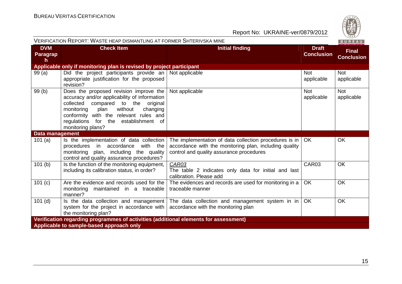

| VERIFICATION REPORT: WASTE HEAP DISMANTLING AT FORMER SHTERIVSKA MINE<br>BUREAU      |                                                                                                                                                                                                                                                                                     |                                                                                                                                                              |                                   |                                   |  |
|--------------------------------------------------------------------------------------|-------------------------------------------------------------------------------------------------------------------------------------------------------------------------------------------------------------------------------------------------------------------------------------|--------------------------------------------------------------------------------------------------------------------------------------------------------------|-----------------------------------|-----------------------------------|--|
| <b>DVM</b><br><b>Paragrap</b><br>$\mathsf{h}$                                        | <b>Check Item</b>                                                                                                                                                                                                                                                                   | <b>Initial finding</b>                                                                                                                                       | <b>Draft</b><br><b>Conclusion</b> | <b>Final</b><br><b>Conclusion</b> |  |
|                                                                                      | Applicable only if monitoring plan is revised by project participant                                                                                                                                                                                                                |                                                                                                                                                              |                                   |                                   |  |
| 99(a)                                                                                | Did the project participants provide an<br>appropriate justification for the proposed<br>revision?                                                                                                                                                                                  | Not applicable                                                                                                                                               | <b>Not</b><br>applicable          | <b>Not</b><br>applicable          |  |
| 99 (b)                                                                               | Does the proposed revision improve the<br>accuracy and/or applicability of information<br>collected compared to the<br>original<br>without<br>changing<br>monitoring<br>plan<br>conformity with the relevant rules and<br>regulations for the establishment of<br>monitoring plans? | Not applicable                                                                                                                                               | <b>Not</b><br>applicable          | <b>Not</b><br>applicable          |  |
| Data management                                                                      |                                                                                                                                                                                                                                                                                     |                                                                                                                                                              |                                   |                                   |  |
| 101(a)                                                                               | Is the implementation of data collection<br>accordance<br>with the<br>procedures in<br>monitoring plan, including the quality<br>control and quality assurance procedures?                                                                                                          | The implementation of data collection procedures is in<br>accordance with the monitoring plan, including quality<br>control and quality assurance procedures | <b>OK</b>                         | <b>OK</b>                         |  |
| 101(b)                                                                               | Is the function of the monitoring equipment,<br>including its calibration status, in order?                                                                                                                                                                                         | CAR03<br>The table 2 indicates only data for initial and last<br>calibration. Please add                                                                     | CAR03                             | <b>OK</b>                         |  |
| 101(c)                                                                               | Are the evidence and records used for the<br>monitoring maintained in a traceable<br>manner?                                                                                                                                                                                        | The evidences and records are used for monitoring in a<br>traceable manner                                                                                   | OK                                | OK                                |  |
| $101$ (d)                                                                            | Is the data collection and management<br>system for the project in accordance with<br>the monitoring plan?                                                                                                                                                                          | The data collection and management system in in $ $<br>accordance with the monitoring plan                                                                   | OK                                | OK                                |  |
| Verification regarding programmes of activities (additional elements for assessment) |                                                                                                                                                                                                                                                                                     |                                                                                                                                                              |                                   |                                   |  |
| Applicable to sample-based approach only                                             |                                                                                                                                                                                                                                                                                     |                                                                                                                                                              |                                   |                                   |  |